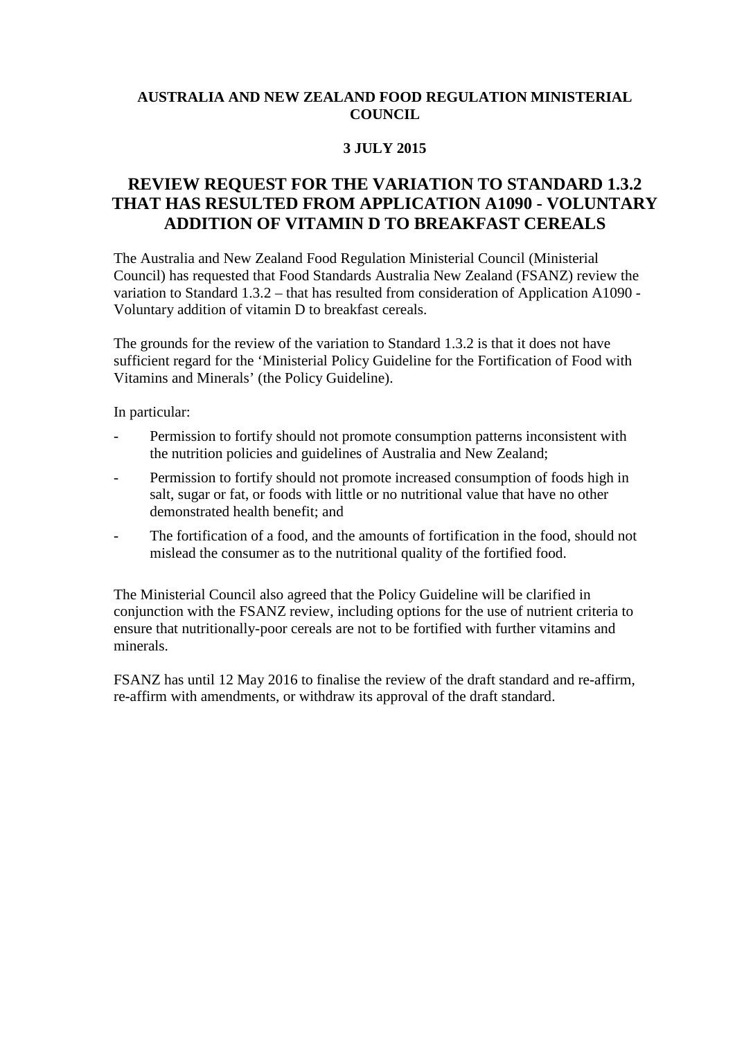## **AUSTRALIA AND NEW ZEALAND FOOD REGULATION MINISTERIAL COUNCIL**

## **3 JULY 2015**

## **REVIEW REQUEST FOR THE VARIATION TO STANDARD 1.3.2 THAT HAS RESULTED FROM APPLICATION A1090 - VOLUNTARY ADDITION OF VITAMIN D TO BREAKFAST CEREALS**

The Australia and New Zealand Food Regulation Ministerial Council (Ministerial Council) has requested that Food Standards Australia New Zealand (FSANZ) review the variation to Standard 1.3.2 – that has resulted from consideration of Application A1090 - Voluntary addition of vitamin D to breakfast cereals.

The grounds for the review of the variation to Standard 1.3.2 is that it does not have sufficient regard for the 'Ministerial Policy Guideline for the Fortification of Food with Vitamins and Minerals' (the Policy Guideline).

In particular:

- Permission to fortify should not promote consumption patterns inconsistent with the nutrition policies and guidelines of Australia and New Zealand;
- Permission to fortify should not promote increased consumption of foods high in salt, sugar or fat, or foods with little or no nutritional value that have no other demonstrated health benefit; and
- The fortification of a food, and the amounts of fortification in the food, should not mislead the consumer as to the nutritional quality of the fortified food.

The Ministerial Council also agreed that the Policy Guideline will be clarified in conjunction with the FSANZ review, including options for the use of nutrient criteria to ensure that nutritionally-poor cereals are not to be fortified with further vitamins and minerals.

FSANZ has until 12 May 2016 to finalise the review of the draft standard and re-affirm, re-affirm with amendments, or withdraw its approval of the draft standard.